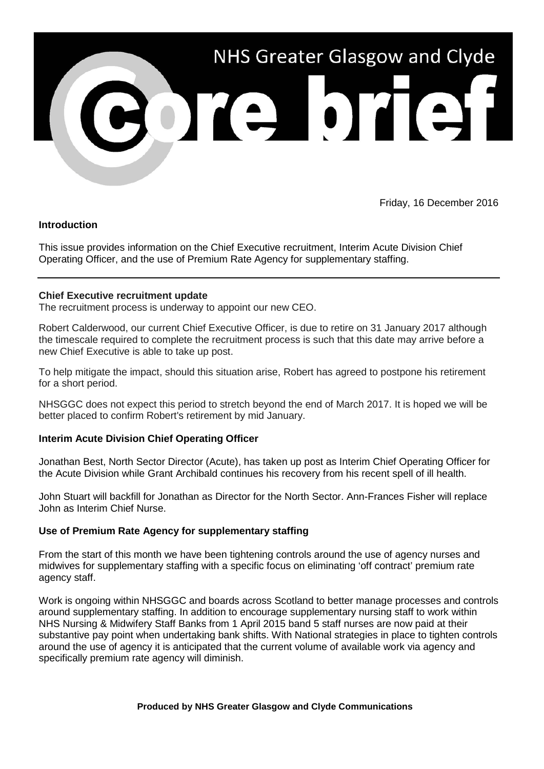

Friday, 16 December 2016

## **Introduction**

This issue provides information on the Chief Executive recruitment, Interim Acute Division Chief Operating Officer, and the use of Premium Rate Agency for supplementary staffing.

## **Chief Executive recruitment update**

The recruitment process is underway to appoint our new CEO.

Robert Calderwood, our current Chief Executive Officer, is due to retire on 31 January 2017 although the timescale required to complete the recruitment process is such that this date may arrive before a new Chief Executive is able to take up post.

To help mitigate the impact, should this situation arise, Robert has agreed to postpone his retirement for a short period.

NHSGGC does not expect this period to stretch beyond the end of March 2017. It is hoped we will be better placed to confirm Robert's retirement by mid January.

## **Interim Acute Division Chief Operating Officer**

Jonathan Best, North Sector Director (Acute), has taken up post as Interim Chief Operating Officer for the Acute Division while Grant Archibald continues his recovery from his recent spell of ill health.

John Stuart will backfill for Jonathan as Director for the North Sector. Ann-Frances Fisher will replace John as Interim Chief Nurse.

## **Use of Premium Rate Agency for supplementary staffing**

From the start of this month we have been tightening controls around the use of agency nurses and midwives for supplementary staffing with a specific focus on eliminating 'off contract' premium rate agency staff.

Work is ongoing within NHSGGC and boards across Scotland to better manage processes and controls around supplementary staffing. In addition to encourage supplementary nursing staff to work within NHS Nursing & Midwifery Staff Banks from 1 April 2015 band 5 staff nurses are now paid at their substantive pay point when undertaking bank shifts. With National strategies in place to tighten controls around the use of agency it is anticipated that the current volume of available work via agency and specifically premium rate agency will diminish.